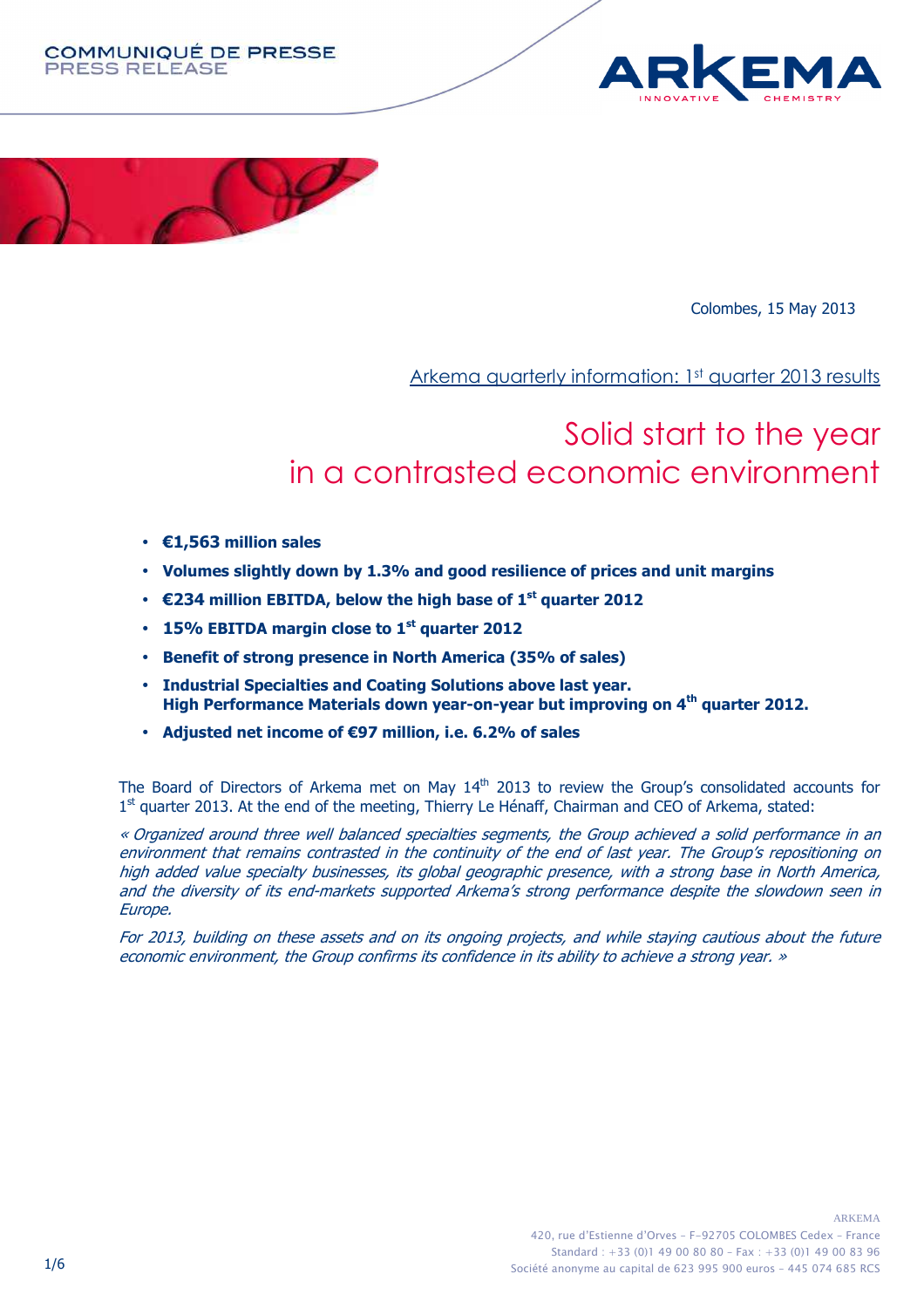





Colombes, 15 May 2013

Arkema quarterly information: 1<sup>st</sup> quarter 2013 results

# Solid start to the year in a contrasted economic environment

- **€1,563 million sales**
- **Volumes slightly down by 1.3% and good resilience of prices and unit margins**
- **€234 million EBITDA, below the high base of 1st quarter 2012**
- **15% EBITDA margin close to 1st quarter 2012**
- **Benefit of strong presence in North America (35% of sales)**
- **Industrial Specialties and Coating Solutions above last year. High Performance Materials down year-on-year but improving on 4th quarter 2012.**
- **Adjusted net income of €97 million, i.e. 6.2% of sales**

The Board of Directors of Arkema met on May 14<sup>th</sup> 2013 to review the Group's consolidated accounts for 1<sup>st</sup> quarter 2013. At the end of the meeting, Thierry Le Hénaff, Chairman and CEO of Arkema, stated:

« Organized around three well balanced specialties segments, the Group achieved a solid performance in an environment that remains contrasted in the continuity of the end of last year. The Group's repositioning on high added value specialty businesses, its global geographic presence, with a strong base in North America, and the diversity of its end-markets supported Arkema's strong performance despite the slowdown seen in Europe.

For 2013, building on these assets and on its ongoing projects, and while staying cautious about the future economic environment, the Group confirms its confidence in its ability to achieve a strong year. »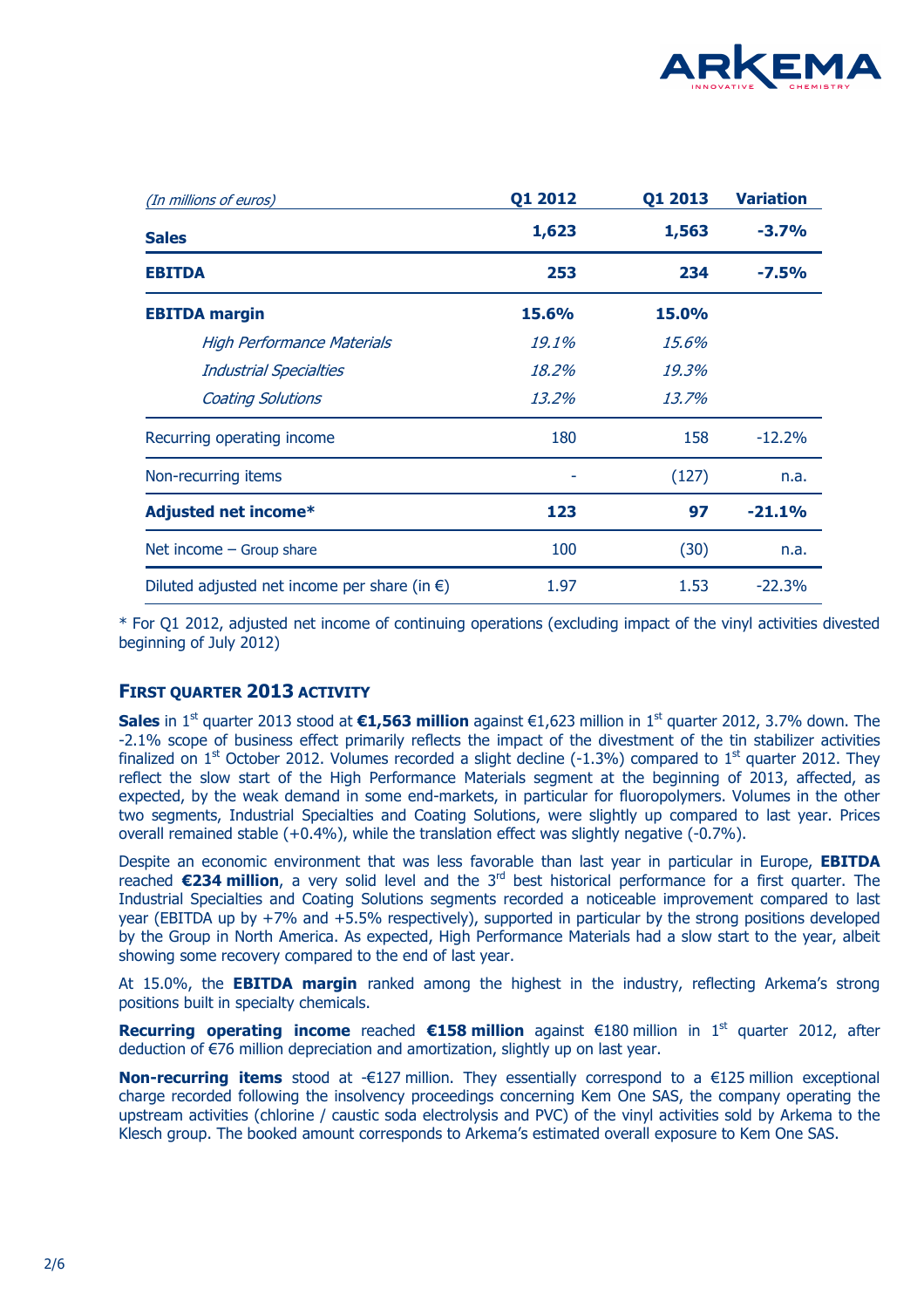

| (In millions of euros)                                 | Q1 2012 | Q1 2013      | <b>Variation</b> |
|--------------------------------------------------------|---------|--------------|------------------|
| <b>Sales</b>                                           | 1,623   | 1,563        | $-3.7%$          |
| <b>EBITDA</b>                                          | 253     | 234          | $-7.5%$          |
| <b>EBITDA</b> margin                                   | 15.6%   | <b>15.0%</b> |                  |
| <b>High Performance Materials</b>                      | 19.1%   | 15.6%        |                  |
| <b>Industrial Specialties</b>                          | 18.2%   | 19.3%        |                  |
| <b>Coating Solutions</b>                               | 13.2%   | 13.7%        |                  |
| Recurring operating income                             | 180     | 158          | $-12.2%$         |
| Non-recurring items                                    |         | (127)        | n.a.             |
| <b>Adjusted net income*</b>                            | 123     | 97           | $-21.1%$         |
| Net income $-$ Group share                             | 100     | (30)         | n.a.             |
| Diluted adjusted net income per share (in $\epsilon$ ) | 1.97    | 1.53         | $-22.3%$         |

\* For Q1 2012, adjusted net income of continuing operations (excluding impact of the vinyl activities divested beginning of July 2012)

## **FIRST QUARTER 2013 ACTIVITY**

**Sales** in 1<sup>st</sup> quarter 2013 stood at **€1,563 million** against €1,623 million in 1<sup>st</sup> quarter 2012, 3.7% down. The -2.1% scope of business effect primarily reflects the impact of the divestment of the tin stabilizer activities finalized on 1<sup>st</sup> October 2012. Volumes recorded a slight decline (-1.3%) compared to 1<sup>st</sup> quarter 2012. They reflect the slow start of the High Performance Materials segment at the beginning of 2013, affected, as expected, by the weak demand in some end-markets, in particular for fluoropolymers. Volumes in the other two segments, Industrial Specialties and Coating Solutions, were slightly up compared to last year. Prices overall remained stable (+0.4%), while the translation effect was slightly negative (-0.7%).

Despite an economic environment that was less favorable than last year in particular in Europe, **EBITDA** reached **€234 million**, a very solid level and the 3<sup>rd</sup> best historical performance for a first quarter. The Industrial Specialties and Coating Solutions segments recorded a noticeable improvement compared to last year (EBITDA up by +7% and +5.5% respectively), supported in particular by the strong positions developed by the Group in North America. As expected, High Performance Materials had a slow start to the year, albeit showing some recovery compared to the end of last year.

At 15.0%, the **EBITDA margin** ranked among the highest in the industry, reflecting Arkema's strong positions built in specialty chemicals.

**Recurring operating income** reached €158 million against €180 million in 1<sup>st</sup> quarter 2012, after deduction of €76 million depreciation and amortization, slightly up on last year.

**Non-recurring items** stood at -€127 million. They essentially correspond to a €125 million exceptional charge recorded following the insolvency proceedings concerning Kem One SAS, the company operating the upstream activities (chlorine / caustic soda electrolysis and PVC) of the vinyl activities sold by Arkema to the Klesch group. The booked amount corresponds to Arkema's estimated overall exposure to Kem One SAS.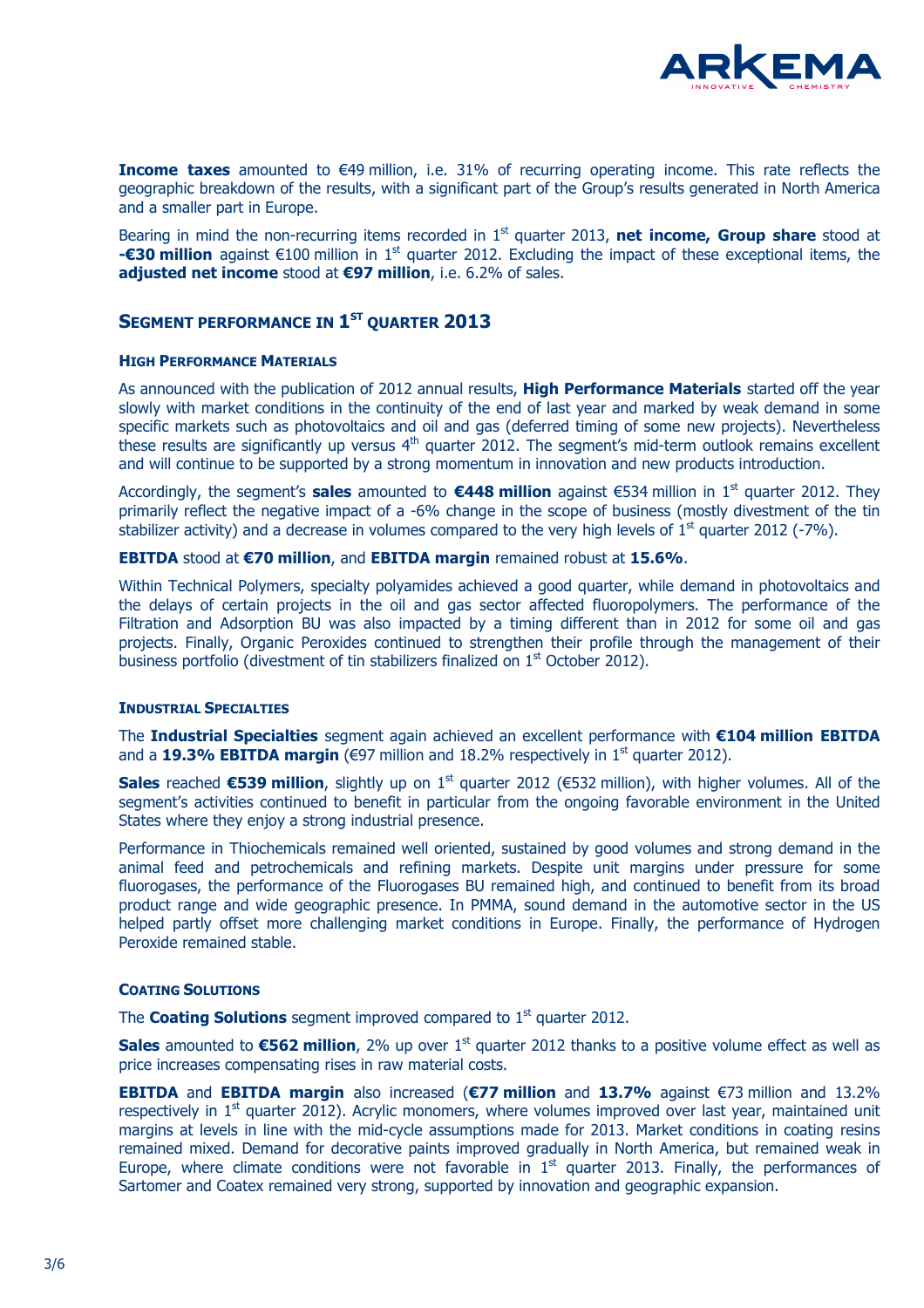

**Income taxes** amounted to €49 million, i.e. 31% of recurring operating income. This rate reflects the geographic breakdown of the results, with a significant part of the Group's results generated in North America and a smaller part in Europe.

Bearing in mind the non-recurring items recorded in 1<sup>st</sup> quarter 2013, **net income, Group share** stood at **-€30 million** against €100 million in 1<sup>st</sup> quarter 2012. Excluding the impact of these exceptional items, the **adjusted net income** stood at **€97 million**, i.e. 6.2% of sales.

## **SEGMENT PERFORMANCE IN 1 ST QUARTER 2013**

#### **HIGH PERFORMANCE MATERIALS**

As announced with the publication of 2012 annual results, **High Performance Materials** started off the year slowly with market conditions in the continuity of the end of last year and marked by weak demand in some specific markets such as photovoltaics and oil and gas (deferred timing of some new projects). Nevertheless these results are significantly up versus 4<sup>th</sup> quarter 2012. The segment's mid-term outlook remains excellent and will continue to be supported by a strong momentum in innovation and new products introduction.

Accordingly, the segment's **sales** amounted to **€448 million** against €534 million in 1st quarter 2012. They primarily reflect the negative impact of a -6% change in the scope of business (mostly divestment of the tin stabilizer activity) and a decrease in volumes compared to the very high levels of  $1<sup>st</sup>$  quarter 2012 (-7%).

#### **EBITDA** stood at **€70 million**, and **EBITDA margin** remained robust at **15.6%**.

Within Technical Polymers, specialty polyamides achieved a good quarter, while demand in photovoltaics and the delays of certain projects in the oil and gas sector affected fluoropolymers. The performance of the Filtration and Adsorption BU was also impacted by a timing different than in 2012 for some oil and gas projects. Finally, Organic Peroxides continued to strengthen their profile through the management of their business portfolio (divestment of tin stabilizers finalized on 1<sup>st</sup> October 2012).

#### **INDUSTRIAL SPECIALTIES**

The **Industrial Specialties** segment again achieved an excellent performance with **€104 million EBITDA** and a **19.3% EBITDA margin** ( $\epsilon$ 97 million and 18.2% respectively in 1<sup>st</sup> quarter 2012).

**Sales** reached €539 million, slightly up on 1<sup>st</sup> quarter 2012 (€532 million), with higher volumes. All of the segment's activities continued to benefit in particular from the ongoing favorable environment in the United States where they enjoy a strong industrial presence.

Performance in Thiochemicals remained well oriented, sustained by good volumes and strong demand in the animal feed and petrochemicals and refining markets. Despite unit margins under pressure for some fluorogases, the performance of the Fluorogases BU remained high, and continued to benefit from its broad product range and wide geographic presence. In PMMA, sound demand in the automotive sector in the US helped partly offset more challenging market conditions in Europe. Finally, the performance of Hydrogen Peroxide remained stable.

#### **COATING SOLUTIONS**

The **Coating Solutions** segment improved compared to 1<sup>st</sup> quarter 2012.

**Sales** amounted to €562 million, 2% up over 1<sup>st</sup> quarter 2012 thanks to a positive volume effect as well as price increases compensating rises in raw material costs.

**EBITDA** and **EBITDA margin** also increased (**€77 million** and **13.7%** against €73 million and 13.2% respectively in 1<sup>st</sup> quarter 2012). Acrylic monomers, where volumes improved over last year, maintained unit margins at levels in line with the mid-cycle assumptions made for 2013. Market conditions in coating resins remained mixed. Demand for decorative paints improved gradually in North America, but remained weak in Europe, where climate conditions were not favorable in  $1<sup>st</sup>$  quarter 2013. Finally, the performances of Sartomer and Coatex remained very strong, supported by innovation and geographic expansion.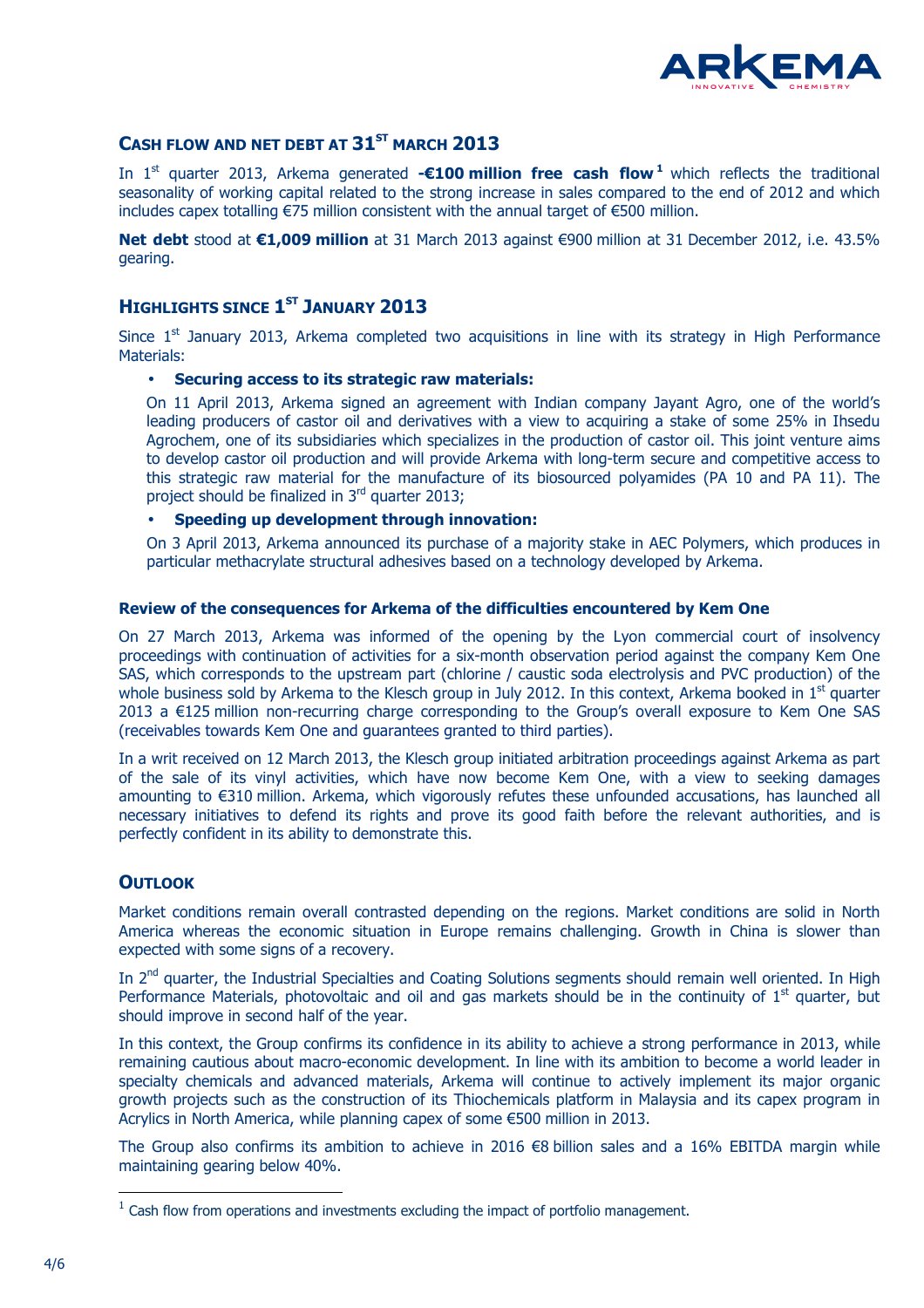

### **CASH FLOW AND NET DEBT AT 31ST MARCH 2013**

In 1<sup>st</sup> quarter 2013, Arkema generated **-€100 million free cash flow<sup>1</sup> which reflects the traditional** seasonality of working capital related to the strong increase in sales compared to the end of 2012 and which includes capex totalling €75 million consistent with the annual target of €500 million.

**Net debt** stood at **€1,009 million** at 31 March 2013 against €900 million at 31 December 2012, i.e. 43.5% gearing.

## **HIGHLIGHTS SINCE 1 ST JANUARY 2013**

Since  $1<sup>st</sup>$  January 2013, Arkema completed two acquisitions in line with its strategy in High Performance Materials:

#### • **Securing access to its strategic raw materials:**

On 11 April 2013, Arkema signed an agreement with Indian company Jayant Agro, one of the world's leading producers of castor oil and derivatives with a view to acquiring a stake of some 25% in Ihsedu Agrochem, one of its subsidiaries which specializes in the production of castor oil. This joint venture aims to develop castor oil production and will provide Arkema with long-term secure and competitive access to this strategic raw material for the manufacture of its biosourced polyamides (PA 10 and PA 11). The project should be finalized in 3<sup>rd</sup> quarter 2013;

• **Speeding up development through innovation:** 

On 3 April 2013, Arkema announced its purchase of a majority stake in AEC Polymers, which produces in particular methacrylate structural adhesives based on a technology developed by Arkema.

#### **Review of the consequences for Arkema of the difficulties encountered by Kem One**

On 27 March 2013, Arkema was informed of the opening by the Lyon commercial court of insolvency proceedings with continuation of activities for a six-month observation period against the company Kem One SAS, which corresponds to the upstream part (chlorine / caustic soda electrolysis and PVC production) of the whole business sold by Arkema to the Klesch group in July 2012. In this context, Arkema booked in  $1<sup>st</sup>$  quarter 2013 a €125 million non-recurring charge corresponding to the Group's overall exposure to Kem One SAS (receivables towards Kem One and guarantees granted to third parties).

In a writ received on 12 March 2013, the Klesch group initiated arbitration proceedings against Arkema as part of the sale of its vinyl activities, which have now become Kem One, with a view to seeking damages amounting to €310 million. Arkema, which vigorously refutes these unfounded accusations, has launched all necessary initiatives to defend its rights and prove its good faith before the relevant authorities, and is perfectly confident in its ability to demonstrate this.

#### **OUTLOOK**

Market conditions remain overall contrasted depending on the regions. Market conditions are solid in North America whereas the economic situation in Europe remains challenging. Growth in China is slower than expected with some signs of a recovery.

In 2<sup>nd</sup> quarter, the Industrial Specialties and Coating Solutions segments should remain well oriented. In High Performance Materials, photovoltaic and oil and gas markets should be in the continuity of  $1<sup>st</sup>$  quarter, but should improve in second half of the year.

In this context, the Group confirms its confidence in its ability to achieve a strong performance in 2013, while remaining cautious about macro-economic development. In line with its ambition to become a world leader in specialty chemicals and advanced materials, Arkema will continue to actively implement its major organic growth projects such as the construction of its Thiochemicals platform in Malaysia and its capex program in Acrylics in North America, while planning capex of some €500 million in 2013.

The Group also confirms its ambition to achieve in 2016 €8 billion sales and a 16% EBITDA margin while maintaining gearing below 40%.

 $\overline{a}$ 

 $1$  Cash flow from operations and investments excluding the impact of portfolio management.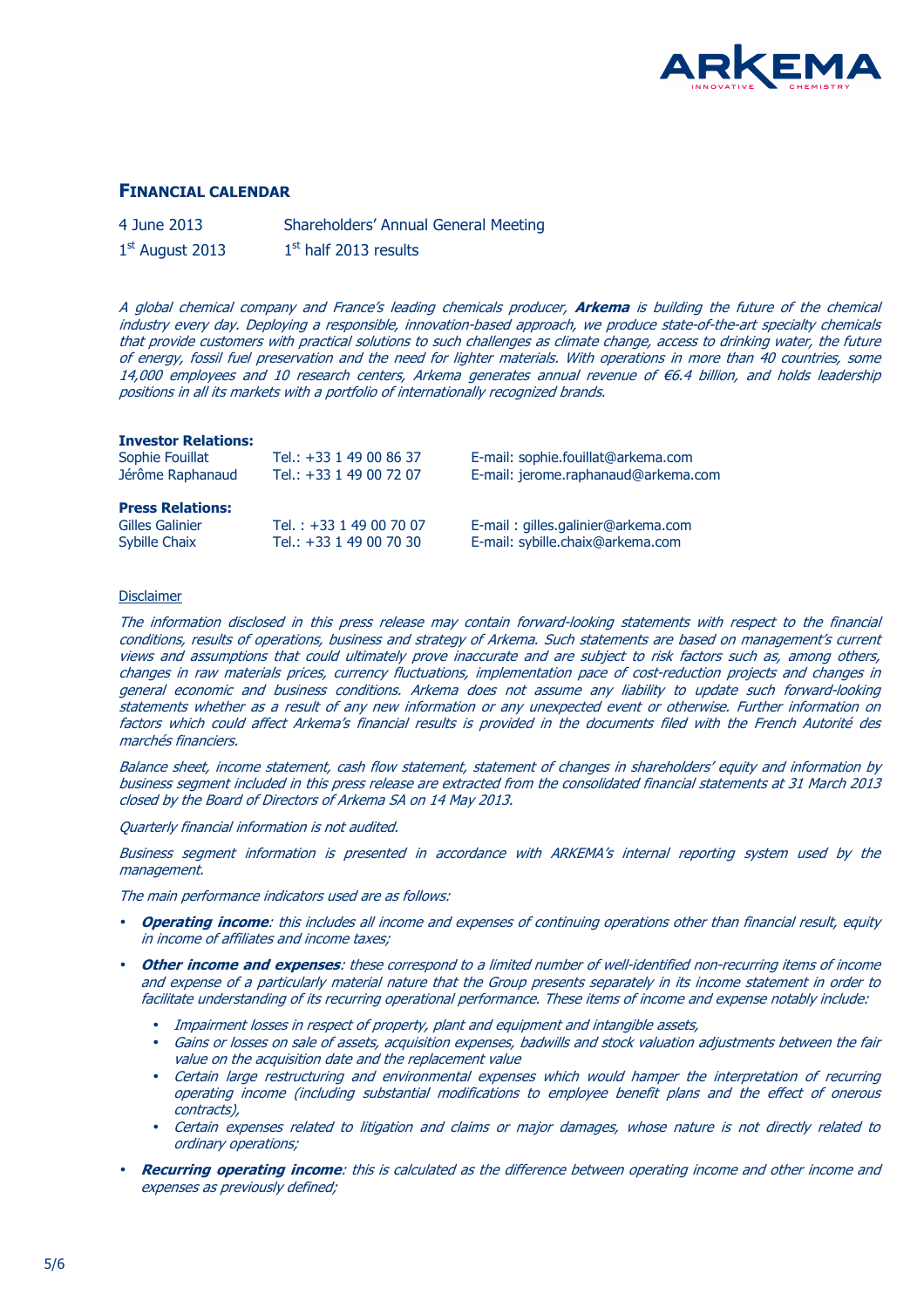

#### **FINANCIAL CALENDAR**

| 4 June 2013       | Shareholders' Annual General Meeting |
|-------------------|--------------------------------------|
| $1st$ August 2013 | $1st$ half 2013 results              |

A global chemical company and France's leading chemicals producer, **Arkema** is building the future of the chemical industry every day. Deploying a responsible, innovation-based approach, we produce state-of-the-art specialty chemicals that provide customers with practical solutions to such challenges as climate change, access to drinking water, the future of energy, fossil fuel preservation and the need for lighter materials. With operations in more than 40 countries, some 14,000 employees and 10 research centers, Arkema generates annual revenue of €6.4 billion, and holds leadership positions in all its markets with a portfolio of internationally recognized brands.

#### **Investor Relations:**

| Sophie Fouillat                             | Tel.: +33 1 49 00 86 37   | E-mail: sophie.fouillat@arkema.com  |
|---------------------------------------------|---------------------------|-------------------------------------|
| Jérôme Raphanaud<br>Tel.: +33 1 49 00 72 07 |                           | E-mail: jerome.raphanaud@arkema.com |
| <b>Press Relations:</b>                     |                           |                                     |
|                                             |                           |                                     |
| <b>Gilles Galinier</b>                      | Tel.: $+33$ 1 49 00 70 07 | E-mail: gilles.galinier@arkema.com  |
| Sybille Chaix                               | Tel.: +33 1 49 00 70 30   | E-mail: sybille.chaix@arkema.com    |

#### Disclaimer

The information disclosed in this press release may contain forward-looking statements with respect to the financial conditions, results of operations, business and strategy of Arkema. Such statements are based on management's current views and assumptions that could ultimately prove inaccurate and are subject to risk factors such as, among others, changes in raw materials prices, currency fluctuations, implementation pace of cost-reduction projects and changes in general economic and business conditions. Arkema does not assume any liability to update such forward-looking statements whether as a result of any new information or any unexpected event or otherwise. Further information on factors which could affect Arkema's financial results is provided in the documents filed with the French Autorité des marchés financiers.

Balance sheet, income statement, cash flow statement, statement of changes in shareholders' equity and information by business segment included in this press release are extracted from the consolidated financial statements at 31 March 2013 closed by the Board of Directors of Arkema SA on 14 May 2013.

Quarterly financial information is not audited.

Business segment information is presented in accordance with ARKEMA's internal reporting system used by the management.

The main performance indicators used are as follows:

- **Operating income**: this includes all income and expenses of continuing operations other than financial result, equity in income of affiliates and income taxes;
- **Other income and expenses**: these correspond to a limited number of well-identified non-recurring items of income and expense of a particularly material nature that the Group presents separately in its income statement in order to facilitate understanding of its recurring operational performance. These items of income and expense notably include:
	- Impairment losses in respect of property, plant and equipment and intangible assets,
	- Gains or losses on sale of assets, acquisition expenses, badwills and stock valuation adjustments between the fair value on the acquisition date and the replacement value
	- Certain large restructuring and environmental expenses which would hamper the interpretation of recurring operating income (including substantial modifications to employee benefit plans and the effect of onerous contracts),
	- Certain expenses related to litigation and claims or major damages, whose nature is not directly related to ordinary operations;
- **Recurring operating income**: this is calculated as the difference between operating income and other income and expenses as previously defined;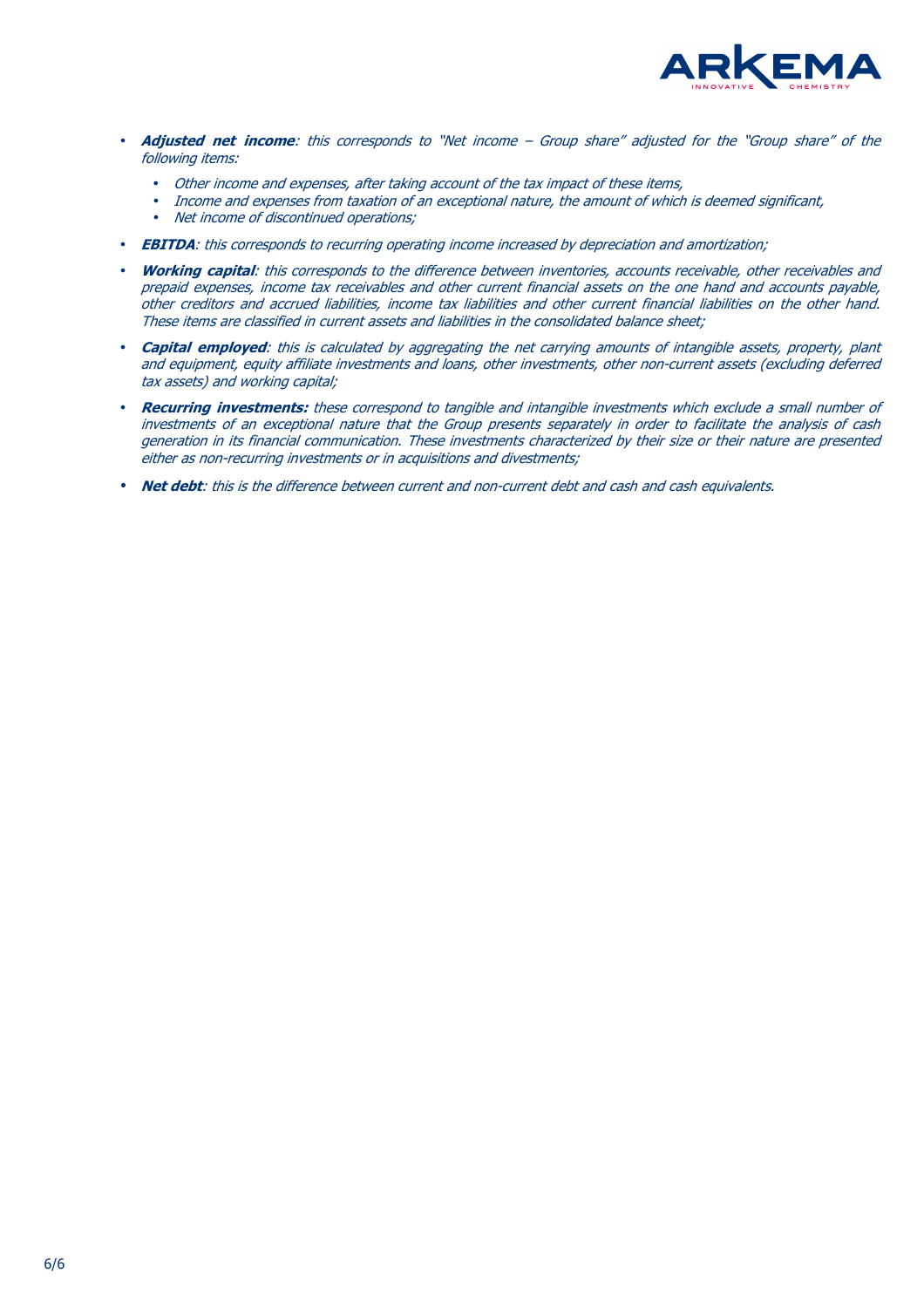

- **Adjusted net income**: this corresponds to "Net income Group share" adjusted for the "Group share" of the following items:
	- Other income and expenses, after taking account of the tax impact of these items,
	- Income and expenses from taxation of an exceptional nature, the amount of which is deemed significant,
	- Net income of discontinued operations;
- **EBITDA**: this corresponds to recurring operating income increased by depreciation and amortization;
- **Working capital**: this corresponds to the difference between inventories, accounts receivable, other receivables and prepaid expenses, income tax receivables and other current financial assets on the one hand and accounts payable, other creditors and accrued liabilities, income tax liabilities and other current financial liabilities on the other hand. These items are classified in current assets and liabilities in the consolidated balance sheet;
- **Capital employed**: this is calculated by aggregating the net carrying amounts of intangible assets, property, plant and equipment, equity affiliate investments and loans, other investments, other non-current assets (excluding deferred tax assets) and working capital;
- **Recurring investments:** these correspond to tangible and intangible investments which exclude a small number of investments of an exceptional nature that the Group presents separately in order to facilitate the analysis of cash generation in its financial communication. These investments characterized by their size or their nature are presented either as non-recurring investments or in acquisitions and divestments;
- **Net debt**: this is the difference between current and non-current debt and cash and cash equivalents.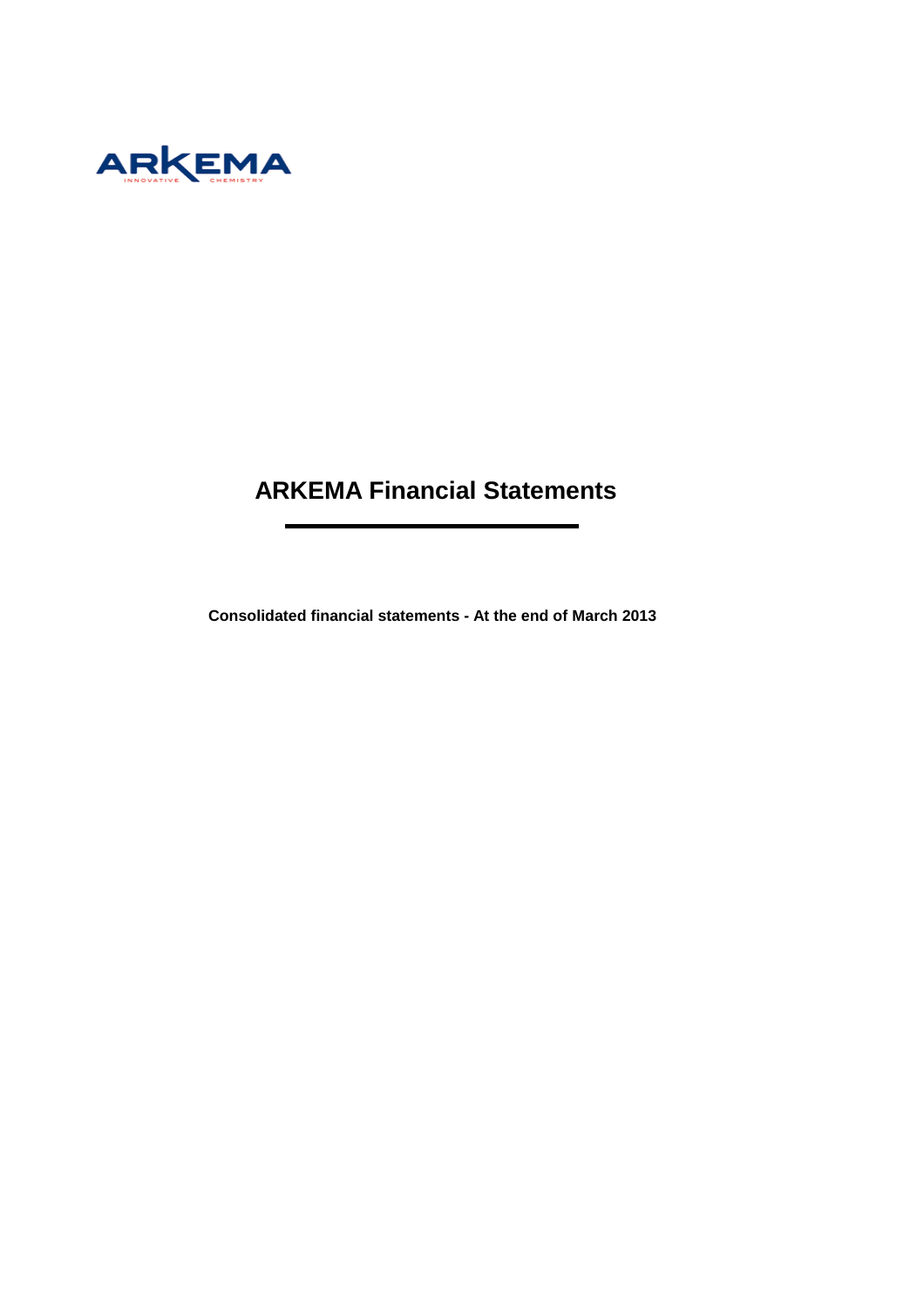

## **ARKEMA Financial Statements**

÷.

**Consolidated financial statements - At the end of March 2013**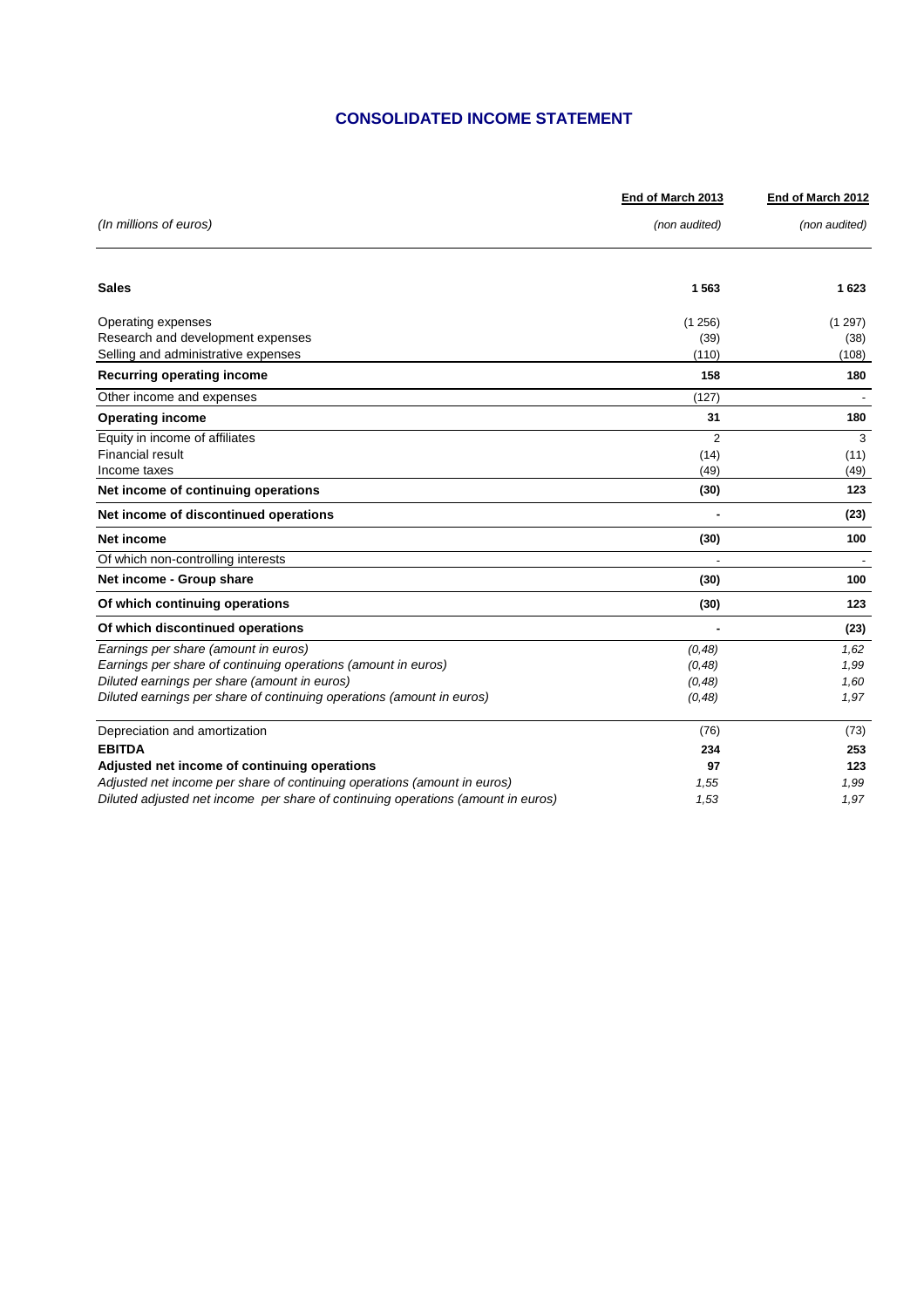## **CONSOLIDATED INCOME STATEMENT**

|                                                                                  | End of March 2013 | End of March 2012 |  |
|----------------------------------------------------------------------------------|-------------------|-------------------|--|
| (In millions of euros)                                                           | (non audited)     | (non audited)     |  |
| <b>Sales</b>                                                                     | 1563              | 1623              |  |
|                                                                                  |                   |                   |  |
| Operating expenses                                                               | (1256)            | (1 297)           |  |
| Research and development expenses                                                | (39)              | (38)              |  |
| Selling and administrative expenses                                              | (110)             | (108)             |  |
| <b>Recurring operating income</b>                                                | 158               | 180               |  |
| Other income and expenses                                                        | (127)             |                   |  |
| <b>Operating income</b>                                                          | 31                | 180               |  |
| Equity in income of affiliates                                                   | 2                 | 3                 |  |
| <b>Financial result</b>                                                          | (14)              | (11)              |  |
| Income taxes                                                                     | (49)              | (49)              |  |
| Net income of continuing operations                                              | (30)              | 123               |  |
| Net income of discontinued operations                                            |                   | (23)              |  |
| Net income                                                                       | (30)              | 100               |  |
| Of which non-controlling interests                                               |                   |                   |  |
| Net income - Group share                                                         | (30)              | 100               |  |
| Of which continuing operations                                                   | (30)              | 123               |  |
| Of which discontinued operations                                                 |                   | (23)              |  |
| Earnings per share (amount in euros)                                             | (0, 48)           | 1,62              |  |
| Earnings per share of continuing operations (amount in euros)                    | (0, 48)           | 1,99              |  |
| Diluted earnings per share (amount in euros)                                     | (0, 48)           | 1,60              |  |
| Diluted earnings per share of continuing operations (amount in euros)            | (0, 48)           | 1,97              |  |
| Depreciation and amortization                                                    | (76)              | (73)              |  |
| <b>EBITDA</b>                                                                    | 234               | 253               |  |
| Adjusted net income of continuing operations                                     | 97                | 123               |  |
| Adjusted net income per share of continuing operations (amount in euros)         | 1,55              | 1,99              |  |
| Diluted adjusted net income per share of continuing operations (amount in euros) | 1,53              | 1,97              |  |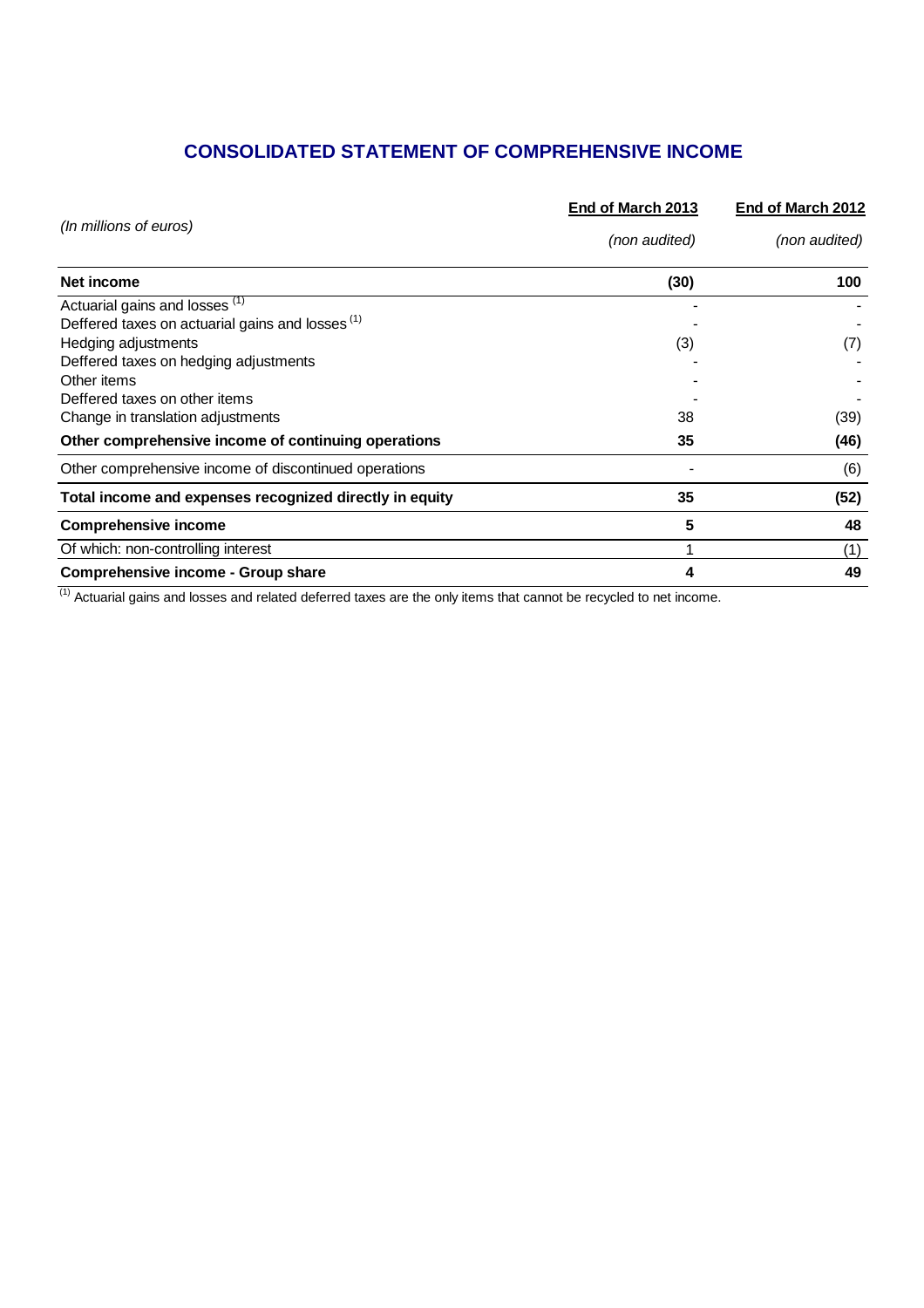## **CONSOLIDATED STATEMENT OF COMPREHENSIVE INCOME**

|                                                             | End of March 2013 | End of March 2012 |
|-------------------------------------------------------------|-------------------|-------------------|
| (In millions of euros)                                      | (non audited)     | (non audited)     |
| Net income                                                  | (30)              | 100               |
| Actuarial gains and losses <sup>(1)</sup>                   |                   |                   |
| Deffered taxes on actuarial gains and losses <sup>(1)</sup> |                   |                   |
| Hedging adjustments                                         | (3)               | (7)               |
| Deffered taxes on hedging adjustments                       |                   |                   |
| Other items                                                 |                   |                   |
| Deffered taxes on other items                               |                   |                   |
| Change in translation adjustments                           | 38                | (39)              |
| Other comprehensive income of continuing operations         | 35                | (46)              |
| Other comprehensive income of discontinued operations       |                   | (6)               |
| Total income and expenses recognized directly in equity     | 35                | (52)              |
| <b>Comprehensive income</b>                                 | 5                 | 48                |
| Of which: non-controlling interest                          |                   | (1)               |
| Comprehensive income - Group share                          | 4                 | 49                |

 $(1)$  Actuarial gains and losses and related deferred taxes are the only items that cannot be recycled to net income.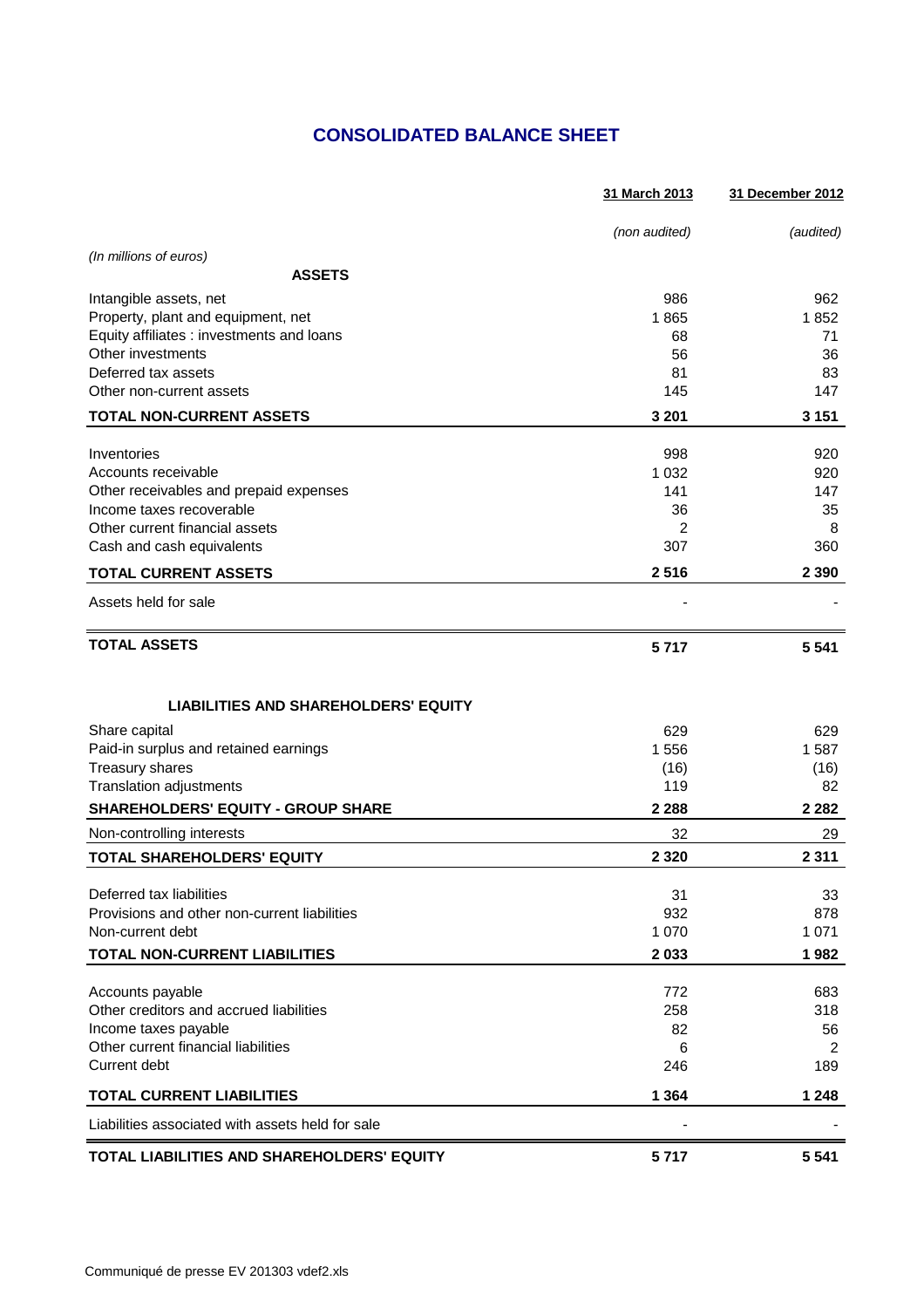## **CONSOLIDATED BALANCE SHEET**

|                                                  | 31 March 2013 | 31 December 2012 |
|--------------------------------------------------|---------------|------------------|
|                                                  | (non audited) | (audited)        |
| (In millions of euros)                           |               |                  |
| <b>ASSETS</b>                                    |               |                  |
| Intangible assets, net                           | 986           | 962              |
| Property, plant and equipment, net               | 1865          | 1852             |
| Equity affiliates : investments and loans        | 68            | 71               |
| Other investments                                | 56            | 36               |
| Deferred tax assets                              | 81            | 83               |
| Other non-current assets                         | 145           | 147              |
| <b>TOTAL NON-CURRENT ASSETS</b>                  | 3 2 0 1       | 3 1 5 1          |
| Inventories                                      | 998           | 920              |
| Accounts receivable                              | 1 0 3 2       | 920              |
| Other receivables and prepaid expenses           | 141           | 147              |
| Income taxes recoverable                         | 36            | 35               |
| Other current financial assets                   | 2             | 8                |
| Cash and cash equivalents                        | 307           | 360              |
| <b>TOTAL CURRENT ASSETS</b>                      | 2516          | 2 3 9 0          |
| Assets held for sale                             |               |                  |
| <b>TOTAL ASSETS</b>                              | 5717          | 5 5 4 1          |
| <b>LIABILITIES AND SHAREHOLDERS' EQUITY</b>      |               |                  |
| Share capital                                    | 629           | 629              |
| Paid-in surplus and retained earnings            | 1 556         | 1587             |
| Treasury shares                                  | (16)          | (16)             |
| Translation adjustments                          | 119           | 82               |
| <b>SHAREHOLDERS' EQUITY - GROUP SHARE</b>        | 2 2 8 8       | 2 2 8 2          |
| Non-controlling interests                        | 32            | 29               |
| TOTAL SHAREHOLDERS' EQUITY                       | 2 3 2 0       | 2 3 1 1          |
| Deferred tax liabilities                         | 31            | 33               |
| Provisions and other non-current liabilities     | 932           | 878              |
| Non-current debt                                 | 1 0 7 0       | 1 0 7 1          |
| TOTAL NON-CURRENT LIABILITIES                    | 2 0 3 3       | 1982             |
| Accounts payable                                 | 772           | 683              |
| Other creditors and accrued liabilities          | 258           | 318              |
| Income taxes payable                             | 82            | 56               |
| Other current financial liabilities              | 6             | $\overline{2}$   |
| Current debt                                     | 246           | 189              |
| <b>TOTAL CURRENT LIABILITIES</b>                 | 1 3 6 4       | 1 2 4 8          |
| Liabilities associated with assets held for sale |               |                  |
| TOTAL LIABILITIES AND SHAREHOLDERS' EQUITY       | 5717          | 5 5 4 1          |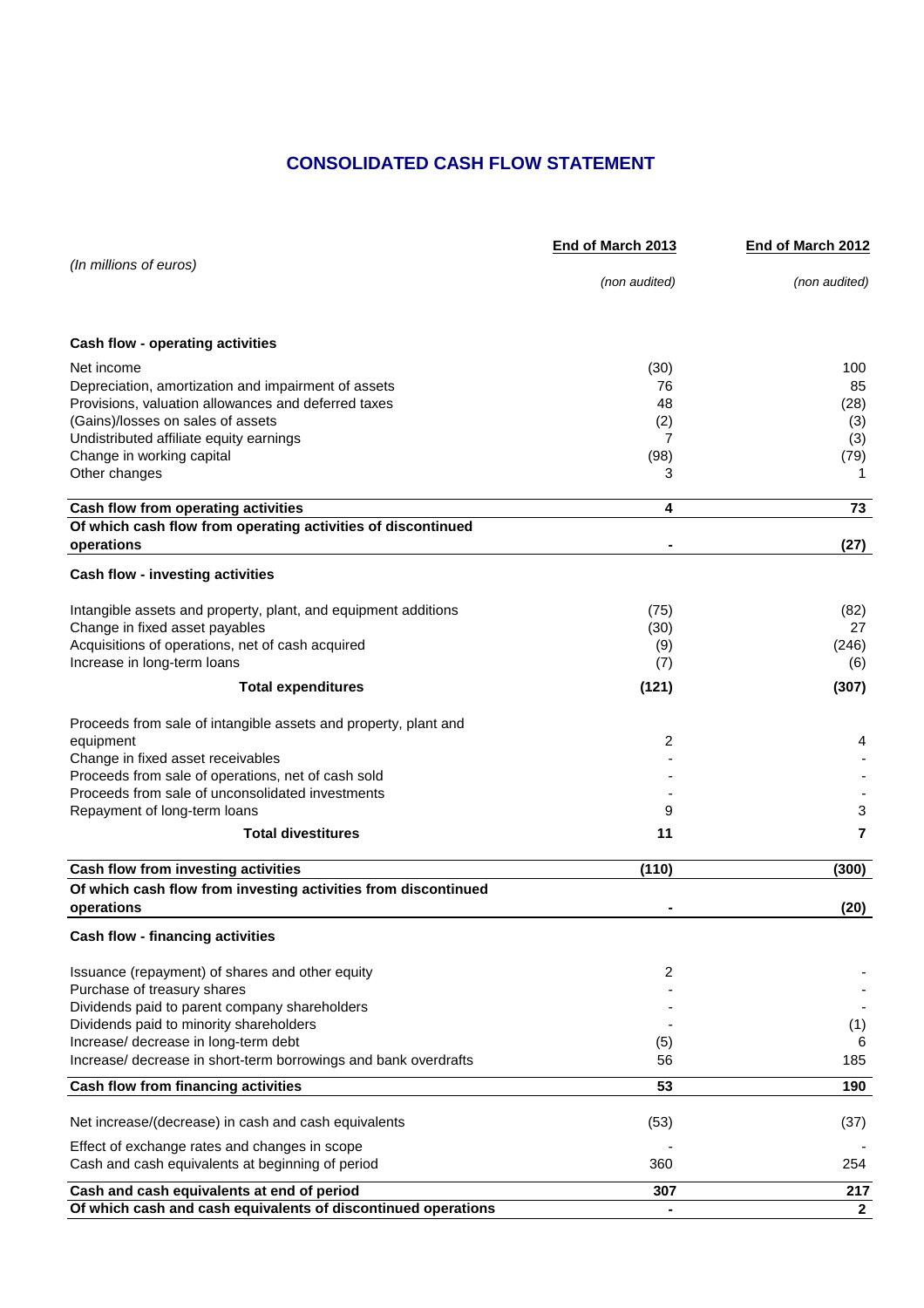## **CONSOLIDATED CASH FLOW STATEMENT**

|                                                                              | End of March 2013 | <b>End of March 2012</b> |
|------------------------------------------------------------------------------|-------------------|--------------------------|
| (In millions of euros)                                                       |                   |                          |
|                                                                              | (non audited)     | (non audited)            |
|                                                                              |                   |                          |
| Cash flow - operating activities                                             |                   |                          |
| Net income                                                                   | (30)              | 100                      |
| Depreciation, amortization and impairment of assets                          | 76                | 85                       |
| Provisions, valuation allowances and deferred taxes                          | 48                | (28)                     |
| (Gains)/losses on sales of assets                                            | (2)               | (3)                      |
| Undistributed affiliate equity earnings                                      | 7                 | (3)                      |
| Change in working capital                                                    | (98)              | (79)                     |
| Other changes                                                                | 3                 | 1                        |
| Cash flow from operating activities                                          | 4                 | 73                       |
| Of which cash flow from operating activities of discontinued<br>operations   |                   | (27)                     |
|                                                                              |                   |                          |
| Cash flow - investing activities                                             |                   |                          |
| Intangible assets and property, plant, and equipment additions               | (75)              | (82)                     |
| Change in fixed asset payables                                               | (30)              | 27                       |
| Acquisitions of operations, net of cash acquired                             | (9)               | (246)                    |
| Increase in long-term loans                                                  | (7)               | (6)                      |
| <b>Total expenditures</b>                                                    | (121)             | (307)                    |
|                                                                              |                   |                          |
| Proceeds from sale of intangible assets and property, plant and              | 2                 |                          |
| equipment<br>Change in fixed asset receivables                               |                   | 4                        |
| Proceeds from sale of operations, net of cash sold                           |                   |                          |
| Proceeds from sale of unconsolidated investments                             |                   |                          |
| Repayment of long-term loans                                                 | 9                 | 3                        |
| <b>Total divestitures</b>                                                    | 11                | 7                        |
|                                                                              |                   |                          |
| Cash flow from investing activities                                          | (110)             | (300)                    |
| Of which cash flow from investing activities from discontinued<br>operations |                   |                          |
|                                                                              |                   | (20)                     |
| <b>Cash flow - financing activities</b>                                      |                   |                          |
| Issuance (repayment) of shares and other equity                              | 2                 |                          |
| Purchase of treasury shares                                                  |                   |                          |
| Dividends paid to parent company shareholders                                |                   |                          |
| Dividends paid to minority shareholders                                      |                   | (1)                      |
| Increase/ decrease in long-term debt                                         | (5)               | 6                        |
| Increase/ decrease in short-term borrowings and bank overdrafts              | 56                | 185                      |
| Cash flow from financing activities                                          | 53                | 190                      |
| Net increase/(decrease) in cash and cash equivalents                         | (53)              | (37)                     |
| Effect of exchange rates and changes in scope                                |                   |                          |
| Cash and cash equivalents at beginning of period                             | 360               | 254                      |
| Cash and cash equivalents at end of period                                   | 307               | 217                      |
| Of which cash and cash equivalents of discontinued operations                |                   | $\mathbf{2}$             |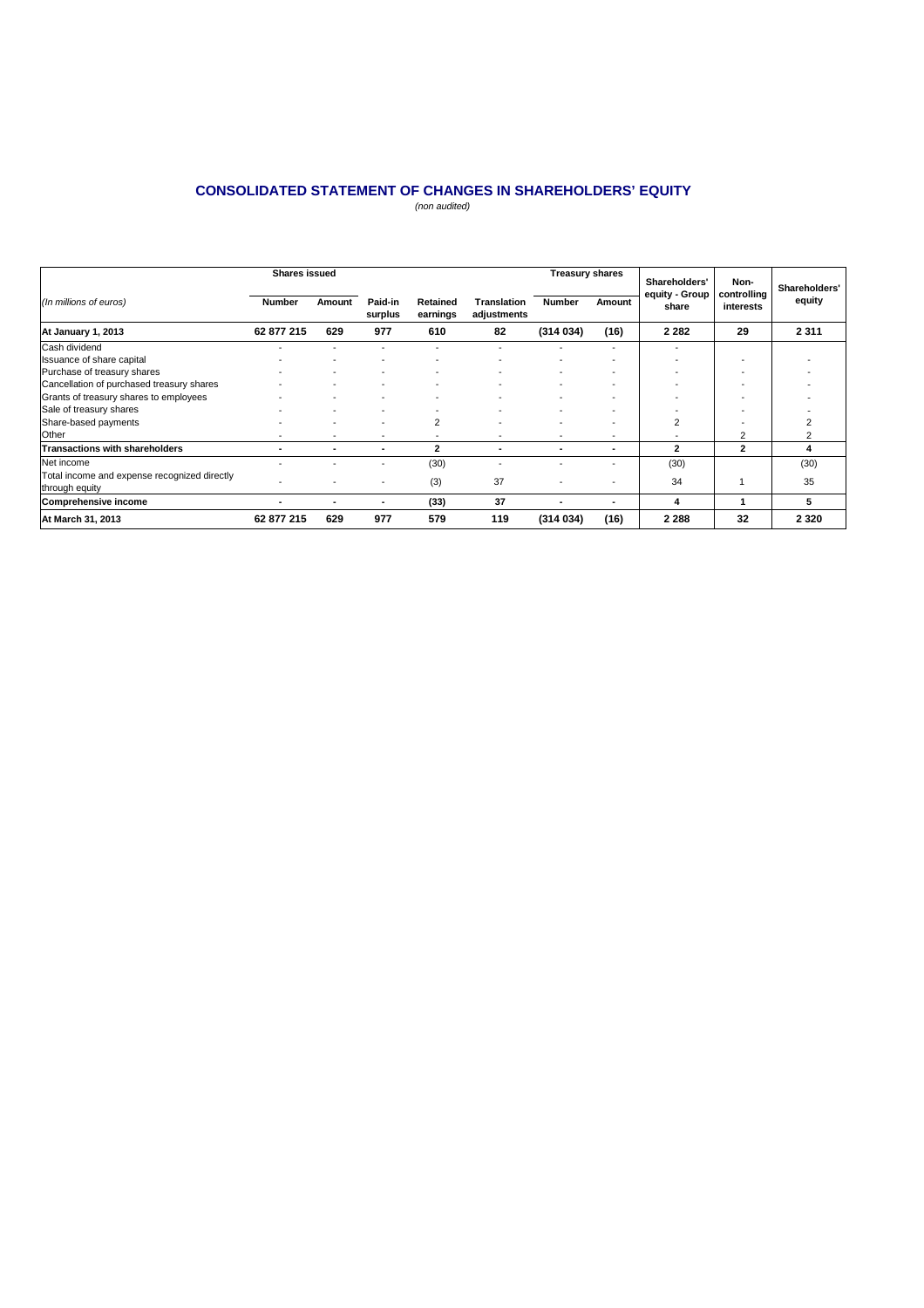## **CONSOLIDATED STATEMENT OF CHANGES IN SHAREHOLDERS' EQUITY**

(non audited)

|                                                                | <b>Shares issued</b>     |                          |                    |                          |                                   | <b>Treasury shares</b>   |        | Shareholders'<br>equity - Group | Non-<br>controlling | Shareholders' |
|----------------------------------------------------------------|--------------------------|--------------------------|--------------------|--------------------------|-----------------------------------|--------------------------|--------|---------------------------------|---------------------|---------------|
| (In millions of euros)                                         | <b>Number</b>            | Amount                   | Paid-in<br>surplus | Retained<br>earnings     | <b>Translation</b><br>adjustments | <b>Number</b>            | Amount | share                           | interests           |               |
| At January 1, 2013                                             | 62 877 215               | 629                      | 977                | 610                      | 82                                | (314034)                 | (16)   | 2 2 8 2                         | 29                  | 2 3 1 1       |
| Cash dividend                                                  |                          |                          |                    |                          |                                   |                          |        |                                 |                     |               |
| Issuance of share capital                                      |                          |                          |                    |                          |                                   |                          |        |                                 |                     |               |
| Purchase of treasury shares                                    |                          |                          |                    |                          |                                   | $\overline{\phantom{a}}$ |        |                                 | -                   |               |
| Cancellation of purchased treasury shares                      |                          |                          |                    |                          |                                   |                          |        |                                 |                     |               |
| Grants of treasury shares to employees                         |                          |                          |                    |                          |                                   |                          |        |                                 |                     |               |
| Sale of treasury shares                                        |                          |                          |                    |                          |                                   |                          |        |                                 |                     |               |
| Share-based payments                                           |                          | $\overline{\phantom{a}}$ |                    | $\overline{2}$           |                                   |                          |        | $\overline{2}$                  |                     |               |
| Other                                                          | $\overline{\phantom{a}}$ | $\blacksquare$           | ٠                  | $\overline{\phantom{a}}$ |                                   | $\overline{\phantom{a}}$ |        |                                 | 2                   |               |
| <b>Transactions with shareholders</b>                          | ۰                        | ۰                        |                    | 2                        |                                   | $\overline{\phantom{a}}$ |        | $\mathbf{z}$                    | $\mathbf{2}$        | 4             |
| Net income                                                     | $\overline{\phantom{0}}$ |                          |                    | (30)                     |                                   |                          |        | (30)                            |                     | (30)          |
| Total income and expense recognized directly<br>through equity | $\overline{\phantom{0}}$ |                          |                    | (3)                      | 37                                |                          |        | 34                              |                     | 35            |
| Comprehensive income                                           |                          | ۰                        |                    | (33)                     | 37                                |                          |        | 4                               |                     | 5             |
| At March 31, 2013                                              | 62 877 215               | 629                      | 977                | 579                      | 119                               | (314034)                 | (16)   | 2 2 8 8                         | 32                  | 2 3 2 0       |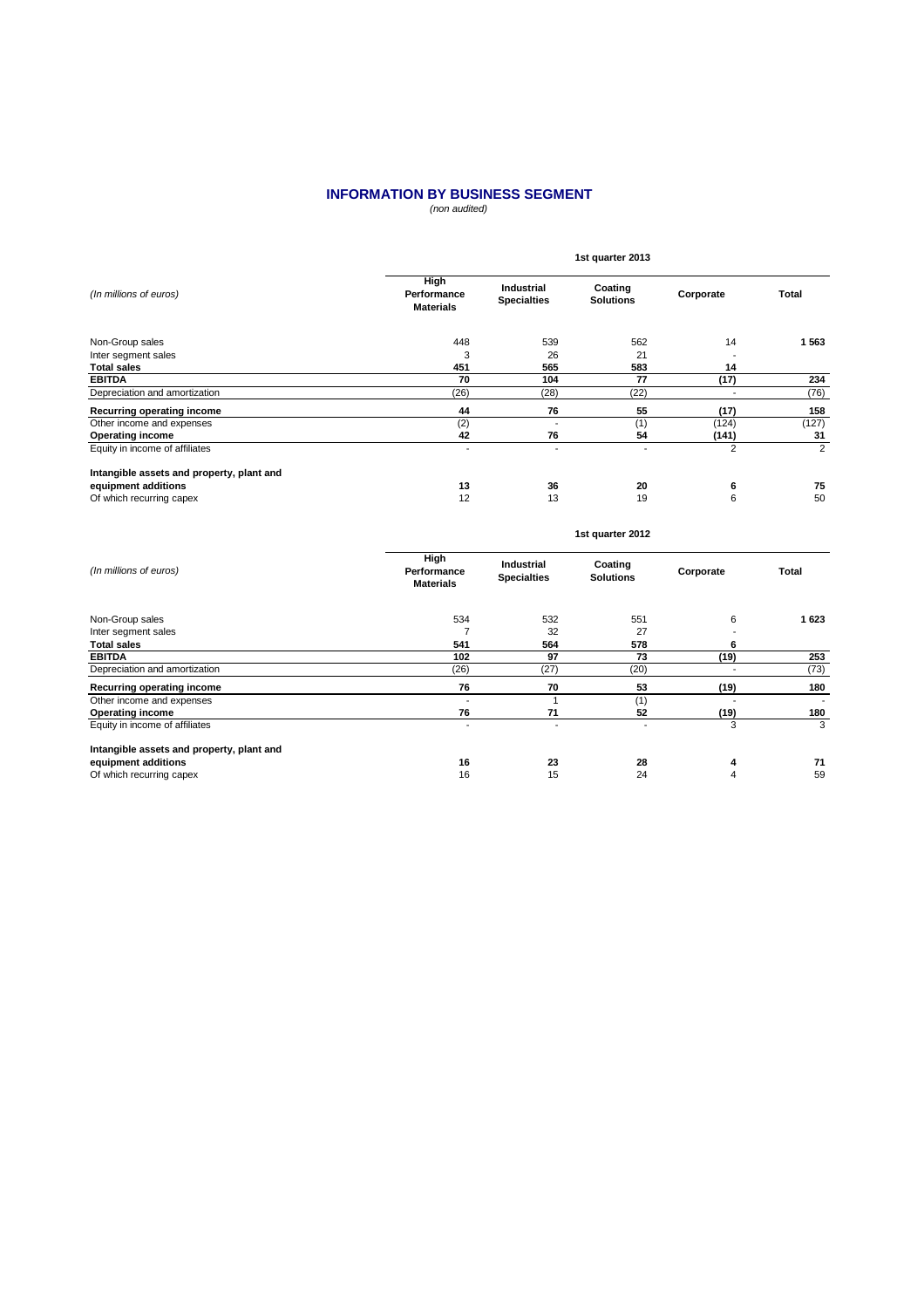#### (non audited) **INFORMATION BY BUSINESS SEGMENT**

|                                           | 1st quarter 2013                        |                                  |                             |                          |                |  |  |  |
|-------------------------------------------|-----------------------------------------|----------------------------------|-----------------------------|--------------------------|----------------|--|--|--|
| (In millions of euros)                    | High<br>Performance<br><b>Materials</b> | Industrial<br><b>Specialties</b> | Coating<br><b>Solutions</b> | Corporate                | Total          |  |  |  |
| Non-Group sales                           | 448                                     | 539                              | 562                         | 14                       | 1 5 6 3        |  |  |  |
| Inter segment sales                       | 3                                       | 26                               | 21                          | $\overline{\phantom{a}}$ |                |  |  |  |
| <b>Total sales</b>                        | 451                                     | 565                              | 583                         | 14                       |                |  |  |  |
| <b>EBITDA</b>                             | 70                                      | 104                              | 77                          | (17)                     | 234            |  |  |  |
| Depreciation and amortization             | (26)                                    | (28)                             | (22)                        | ٠                        | (76)           |  |  |  |
| Recurring operating income                | 44                                      | 76                               | 55                          | (17)                     | 158            |  |  |  |
| Other income and expenses                 | (2)                                     | ٠                                | (1)                         | (124)                    | (127)          |  |  |  |
| <b>Operating income</b>                   | 42                                      | 76                               | 54                          | (141)                    | 31             |  |  |  |
| Equity in income of affiliates            | $\overline{\phantom{a}}$                | ٠                                | $\overline{\phantom{a}}$    | 2                        | $\overline{2}$ |  |  |  |
| Intangible assets and property, plant and |                                         |                                  |                             |                          |                |  |  |  |
| equipment additions                       | 13                                      | 36                               | 20                          | 6                        | 75             |  |  |  |
| Of which recurring capex                  | 12                                      | 13                               | 19                          | 6                        | 50             |  |  |  |
|                                           |                                         |                                  | 1st quarter 2012            |                          |                |  |  |  |

| (In millions of euros)                    | High<br>Performance<br><b>Materials</b> | Industrial<br><b>Specialties</b> | Coating<br><b>Solutions</b> | Corporate | <b>Total</b>             |
|-------------------------------------------|-----------------------------------------|----------------------------------|-----------------------------|-----------|--------------------------|
| Non-Group sales                           | 534                                     | 532                              | 551                         | 6         | 1 623                    |
| Inter segment sales                       |                                         | 32                               | 27                          |           |                          |
| <b>Total sales</b>                        | 541                                     | 564                              | 578                         | 6         |                          |
| <b>EBITDA</b>                             | 102                                     | 97                               | 73                          | (19)      | 253                      |
| Depreciation and amortization             | (26)                                    | (27)                             | (20)                        | ٠         | (73)                     |
| Recurring operating income                | 76                                      | 70                               | 53                          | (19)      | 180                      |
| Other income and expenses                 | $\overline{\phantom{a}}$                |                                  | (1)                         |           | $\overline{\phantom{a}}$ |
| <b>Operating income</b>                   | 76                                      | 71                               | 52                          | (19)      | 180                      |
| Equity in income of affiliates            | ٠                                       |                                  | $\blacksquare$              | 3         | 3                        |
| Intangible assets and property, plant and |                                         |                                  |                             |           |                          |
| equipment additions                       | 16                                      | 23                               | 28                          | 4         | 71                       |
| Of which recurring capex                  | 16                                      | 15                               | 24                          | 4         | 59                       |